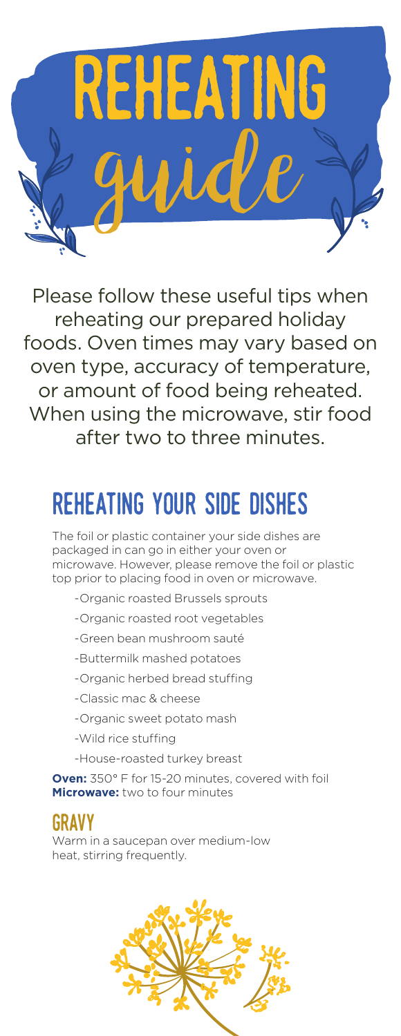

Please follow these useful tips when reheating our prepared holiday foods. Oven times may vary based on oven type, accuracy of temperature, or amount of food being reheated. When using the microwave, stir food after two to three minutes.

# reheating your side dishes

The foil or plastic container your side dishes are packaged in can go in either your oven or microwave. However, please remove the foil or plastic top prior to placing food in oven or microwave.

- -Organic roasted Brussels sprouts
- -Organic roasted root vegetables
- -Green bean mushroom sauté
- -Buttermilk mashed potatoes
- -Organic herbed bread stuffing
- -Classic mac & cheese
- -Organic sweet potato mash
- -Wild rice stuffing
- -House-roasted turkey breast

**Oven:** 350° F for 15-20 minutes, covered with foil **Microwave:** two to four minutes

#### gravy

Warm in a saucepan over medium-low heat, stirring frequently.